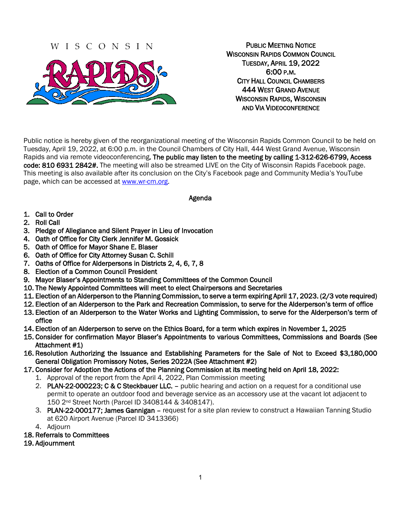## WISCONSIN



PUBLIC MEETING NOTICE WISCONSIN RAPIDS COMMON COUNCIL TUESDAY, APRIL 19, 2022 6:00 P.M. CITY HALL COUNCIL CHAMBERS 444 WEST GRAND AVENUE WISCONSIN RAPIDS, WISCONSIN AND VIA VIDEOCONFERENCE

Public notice is hereby given of the reorganizational meeting of the Wisconsin Rapids Common Council to be held on Tuesday, April 19, 2022, at 6:00 p.m. in the Council Chambers of City Hall, 444 West Grand Avenue, Wisconsin Rapids and via remote videoconferencing. The public may listen to the meeting by calling 1-312-626-6799, Access code: 810 6931 2842#. The meeting will also be streamed LIVE on the City of Wisconsin Rapids Facebook page. This meeting is also available after its conclusion on the City's Facebook page and Community Media's YouTube page, which can be accessed at [www.wr-cm.org.](http://www.wr-cm.org/)

#### Agenda

- 1. Call to Order
- 2. Roll Call
- 3. Pledge of Allegiance and Silent Prayer in Lieu of Invocation
- 4. Oath of Office for City Clerk Jennifer M. Gossick
- 5. Oath of Office for Mayor Shane E. Blaser
- 6. Oath of Office for City Attorney Susan C. Schill
- 7. Oaths of Office for Alderpersons in Districts 2, 4, 6, 7, 8
- 8. Election of a Common Council President
- 9. Mayor Blaser's Appointments to Standing Committees of the Common Council
- 10. The Newly Appointed Committees will meet to elect Chairpersons and Secretaries
- 11. Election of an Alderperson to the Planning Commission, to serve a term expiring April 17, 2023. (2/3 vote required)
- 12. Election of an Alderperson to the Park and Recreation Commission, to serve for the Alderperson's term of office
- 13. Election of an Alderperson to the Water Works and Lighting Commission, to serve for the Alderperson's term of office
- 14. Election of an Alderperson to serve on the Ethics Board, for a term which expires in November 1, 2025
- 15. Consider for confirmation Mayor Blaser's Appointments to various Committees, Commissions and Boards (See Attachment #1)
- 16. Resolution Authorizing the Issuance and Establishing Parameters for the Sale of Not to Exceed \$3,180,000 General Obligation Promissory Notes, Series 2022A (See Attachment #2)
- 17. Consider for Adoption the Actions of the Planning Commission at its meeting held on April 18, 2022:
	- 1. Approval of the report from the April 4, 2022, Plan Commission meeting
	- 2. PLAN-22-000223; C & C Steckbauer LLC. public hearing and action on a request for a conditional use permit to operate an outdoor food and beverage service as an accessory use at the vacant lot adjacent to 150 2nd Street North (Parcel ID 3408144 & 3408147).
	- 3. PLAN-22-000177; James Gannigan request for a site plan review to construct a Hawaiian Tanning Studio at 620 Airport Avenue (Parcel ID 3413366)
	- 4. Adjourn
- 18. Referrals to Committees
- 19. Adjournment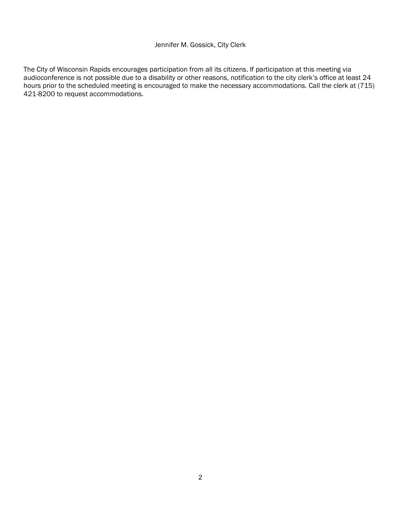#### Jennifer M. Gossick, City Clerk

The City of Wisconsin Rapids encourages participation from all its citizens. If participation at this meeting via audioconference is not possible due to a disability or other reasons, notification to the city clerk's office at least 24 hours prior to the scheduled meeting is encouraged to make the necessary accommodations. Call the clerk at (715) 421-8200 to request accommodations.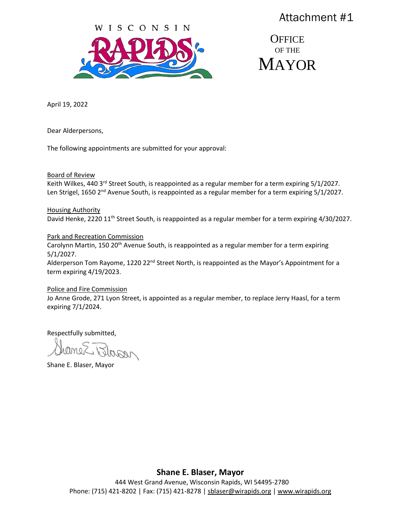

**OFFICE** OF THE **MAYOR** 

April 19, 2022

Dear Alderpersons,

The following appointments are submitted for your approval:

Board of Review

Keith Wilkes, 440 3<sup>rd</sup> Street South, is reappointed as a regular member for a term expiring 5/1/2027. Len Strigel, 1650 2<sup>nd</sup> Avenue South, is reappointed as a regular member for a term expiring 5/1/2027.

Housing Authority David Henke, 2220 11<sup>th</sup> Street South, is reappointed as a regular member for a term expiring 4/30/2027.

#### Park and Recreation Commission

Carolynn Martin, 150 20<sup>th</sup> Avenue South, is reappointed as a regular member for a term expiring 5/1/2027.

Alderperson Tom Rayome, 1220 22<sup>nd</sup> Street North, is reappointed as the Mayor's Appointment for a term expiring 4/19/2023.

#### Police and Fire Commission

Jo Anne Grode, 271 Lyon Street, is appointed as a regular member, to replace Jerry Haasl, for a term expiring 7/1/2024.

Respectfully submitted,

Jhopen

Shane E. Blaser, Mayor

**Shane E. Blaser, Mayor**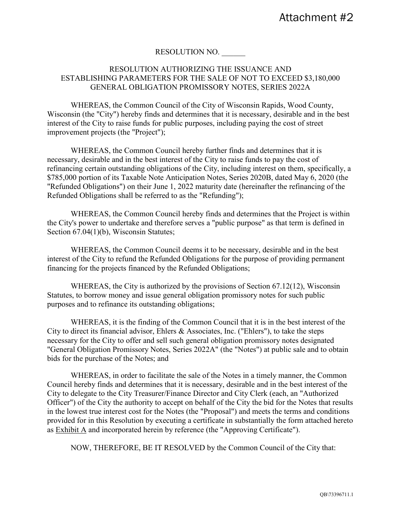#### RESOLUTION NO.

#### RESOLUTION AUTHORIZING THE ISSUANCE AND ESTABLISHING PARAMETERS FOR THE SALE OF NOT TO EXCEED \$3,180,000 GENERAL OBLIGATION PROMISSORY NOTES, SERIES 2022A

WHEREAS, the Common Council of the City of Wisconsin Rapids, Wood County, Wisconsin (the "City") hereby finds and determines that it is necessary, desirable and in the best interest of the City to raise funds for public purposes, including paying the cost of street improvement projects (the "Project");

WHEREAS, the Common Council hereby further finds and determines that it is necessary, desirable and in the best interest of the City to raise funds to pay the cost of refinancing certain outstanding obligations of the City, including interest on them, specifically, a \$785,000 portion of its Taxable Note Anticipation Notes, Series 2020B, dated May 6, 2020 (the "Refunded Obligations") on their June 1, 2022 maturity date (hereinafter the refinancing of the Refunded Obligations shall be referred to as the "Refunding");

WHEREAS, the Common Council hereby finds and determines that the Project is within the City's power to undertake and therefore serves a "public purpose" as that term is defined in Section 67.04(1)(b), Wisconsin Statutes;

WHEREAS, the Common Council deems it to be necessary, desirable and in the best interest of the City to refund the Refunded Obligations for the purpose of providing permanent financing for the projects financed by the Refunded Obligations;

WHEREAS, the City is authorized by the provisions of Section 67.12(12), Wisconsin Statutes, to borrow money and issue general obligation promissory notes for such public purposes and to refinance its outstanding obligations;

WHEREAS, it is the finding of the Common Council that it is in the best interest of the City to direct its financial advisor, Ehlers & Associates, Inc. ("Ehlers"), to take the steps necessary for the City to offer and sell such general obligation promissory notes designated "General Obligation Promissory Notes, Series 2022A" (the "Notes") at public sale and to obtain bids for the purchase of the Notes; and

WHEREAS, in order to facilitate the sale of the Notes in a timely manner, the Common Council hereby finds and determines that it is necessary, desirable and in the best interest of the City to delegate to the City Treasurer/Finance Director and City Clerk (each, an "Authorized Officer") of the City the authority to accept on behalf of the City the bid for the Notes that results in the lowest true interest cost for the Notes (the "Proposal") and meets the terms and conditions provided for in this Resolution by executing a certificate in substantially the form attached hereto as Exhibit A and incorporated herein by reference (the "Approving Certificate").

NOW, THEREFORE, BE IT RESOLVED by the Common Council of the City that: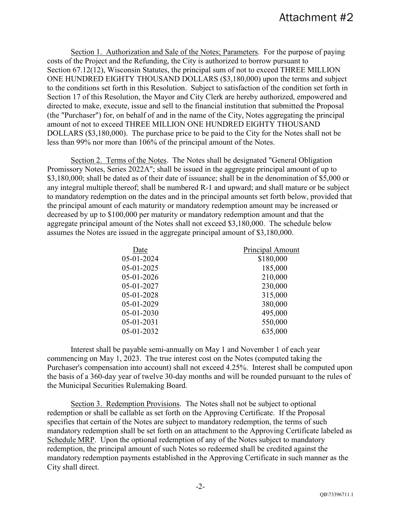Section 1. Authorization and Sale of the Notes; Parameters. For the purpose of paying costs of the Project and the Refunding, the City is authorized to borrow pursuant to Section 67.12(12), Wisconsin Statutes, the principal sum of not to exceed THREE MILLION ONE HUNDRED EIGHTY THOUSAND DOLLARS (\$3,180,000) upon the terms and subject to the conditions set forth in this Resolution. Subject to satisfaction of the condition set forth in Section 17 of this Resolution, the Mayor and City Clerk are hereby authorized, empowered and directed to make, execute, issue and sell to the financial institution that submitted the Proposal (the "Purchaser") for, on behalf of and in the name of the City, Notes aggregating the principal amount of not to exceed THREE MILLION ONE HUNDRED EIGHTY THOUSAND DOLLARS (\$3,180,000). The purchase price to be paid to the City for the Notes shall not be less than 99% nor more than 106% of the principal amount of the Notes.

Section 2. Terms of the Notes. The Notes shall be designated "General Obligation Promissory Notes, Series 2022A"; shall be issued in the aggregate principal amount of up to \$3,180,000; shall be dated as of their date of issuance; shall be in the denomination of \$5,000 or any integral multiple thereof; shall be numbered R-1 and upward; and shall mature or be subject to mandatory redemption on the dates and in the principal amounts set forth below, provided that the principal amount of each maturity or mandatory redemption amount may be increased or decreased by up to \$100,000 per maturity or mandatory redemption amount and that the aggregate principal amount of the Notes shall not exceed \$3,180,000. The schedule below assumes the Notes are issued in the aggregate principal amount of \$3,180,000.

| Date         | <b>Principal Amount</b> |
|--------------|-------------------------|
| 05-01-2024   | \$180,000               |
| 05-01-2025   | 185,000                 |
| 05-01-2026   | 210,000                 |
| 05-01-2027   | 230,000                 |
| 05-01-2028   | 315,000                 |
| 05-01-2029   | 380,000                 |
| $05-01-2030$ | 495,000                 |
| 05-01-2031   | 550,000                 |
| 05-01-2032   | 635,000                 |
|              |                         |

Interest shall be payable semi-annually on May 1 and November 1 of each year commencing on May 1, 2023. The true interest cost on the Notes (computed taking the Purchaser's compensation into account) shall not exceed 4.25%. Interest shall be computed upon the basis of a 360-day year of twelve 30-day months and will be rounded pursuant to the rules of the Municipal Securities Rulemaking Board.

Section 3. Redemption Provisions. The Notes shall not be subject to optional redemption or shall be callable as set forth on the Approving Certificate. If the Proposal specifies that certain of the Notes are subject to mandatory redemption, the terms of such mandatory redemption shall be set forth on an attachment to the Approving Certificate labeled as Schedule MRP. Upon the optional redemption of any of the Notes subject to mandatory redemption, the principal amount of such Notes so redeemed shall be credited against the mandatory redemption payments established in the Approving Certificate in such manner as the City shall direct.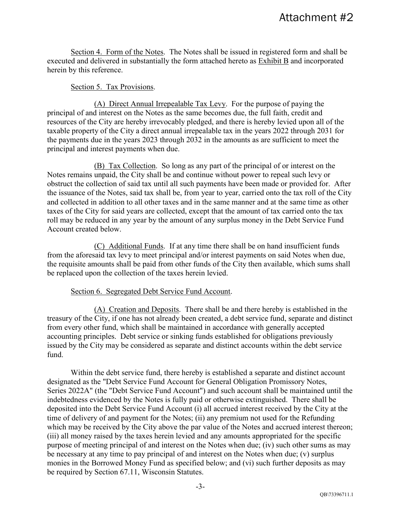Section 4. Form of the Notes. The Notes shall be issued in registered form and shall be executed and delivered in substantially the form attached hereto as **Exhibit B** and incorporated herein by this reference.

#### Section 5. Tax Provisions.

(A) Direct Annual Irrepealable Tax Levy. For the purpose of paying the principal of and interest on the Notes as the same becomes due, the full faith, credit and resources of the City are hereby irrevocably pledged, and there is hereby levied upon all of the taxable property of the City a direct annual irrepealable tax in the years 2022 through 2031 for the payments due in the years 2023 through 2032 in the amounts as are sufficient to meet the principal and interest payments when due.

(B) Tax Collection. So long as any part of the principal of or interest on the Notes remains unpaid, the City shall be and continue without power to repeal such levy or obstruct the collection of said tax until all such payments have been made or provided for. After the issuance of the Notes, said tax shall be, from year to year, carried onto the tax roll of the City and collected in addition to all other taxes and in the same manner and at the same time as other taxes of the City for said years are collected, except that the amount of tax carried onto the tax roll may be reduced in any year by the amount of any surplus money in the Debt Service Fund Account created below.

(C) Additional Funds. If at any time there shall be on hand insufficient funds from the aforesaid tax levy to meet principal and/or interest payments on said Notes when due, the requisite amounts shall be paid from other funds of the City then available, which sums shall be replaced upon the collection of the taxes herein levied.

#### Section 6. Segregated Debt Service Fund Account.

(A) Creation and Deposits. There shall be and there hereby is established in the treasury of the City, if one has not already been created, a debt service fund, separate and distinct from every other fund, which shall be maintained in accordance with generally accepted accounting principles. Debt service or sinking funds established for obligations previously issued by the City may be considered as separate and distinct accounts within the debt service fund.

Within the debt service fund, there hereby is established a separate and distinct account designated as the "Debt Service Fund Account for General Obligation Promissory Notes, Series 2022A" (the "Debt Service Fund Account") and such account shall be maintained until the indebtedness evidenced by the Notes is fully paid or otherwise extinguished. There shall be deposited into the Debt Service Fund Account (i) all accrued interest received by the City at the time of delivery of and payment for the Notes; (ii) any premium not used for the Refunding which may be received by the City above the par value of the Notes and accrued interest thereon; (iii) all money raised by the taxes herein levied and any amounts appropriated for the specific purpose of meeting principal of and interest on the Notes when due; (iv) such other sums as may be necessary at any time to pay principal of and interest on the Notes when due; (v) surplus monies in the Borrowed Money Fund as specified below; and (vi) such further deposits as may be required by Section 67.11, Wisconsin Statutes.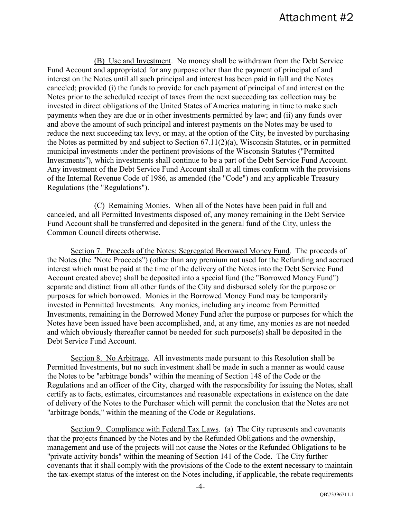(B) Use and Investment. No money shall be withdrawn from the Debt Service Fund Account and appropriated for any purpose other than the payment of principal of and interest on the Notes until all such principal and interest has been paid in full and the Notes canceled; provided (i) the funds to provide for each payment of principal of and interest on the Notes prior to the scheduled receipt of taxes from the next succeeding tax collection may be invested in direct obligations of the United States of America maturing in time to make such payments when they are due or in other investments permitted by law; and (ii) any funds over and above the amount of such principal and interest payments on the Notes may be used to reduce the next succeeding tax levy, or may, at the option of the City, be invested by purchasing the Notes as permitted by and subject to Section 67.11(2)(a), Wisconsin Statutes, or in permitted municipal investments under the pertinent provisions of the Wisconsin Statutes ("Permitted Investments"), which investments shall continue to be a part of the Debt Service Fund Account. Any investment of the Debt Service Fund Account shall at all times conform with the provisions of the Internal Revenue Code of 1986, as amended (the "Code") and any applicable Treasury Regulations (the "Regulations").

(C) Remaining Monies. When all of the Notes have been paid in full and canceled, and all Permitted Investments disposed of, any money remaining in the Debt Service Fund Account shall be transferred and deposited in the general fund of the City, unless the Common Council directs otherwise.

Section 7. Proceeds of the Notes; Segregated Borrowed Money Fund. The proceeds of the Notes (the "Note Proceeds") (other than any premium not used for the Refunding and accrued interest which must be paid at the time of the delivery of the Notes into the Debt Service Fund Account created above) shall be deposited into a special fund (the "Borrowed Money Fund") separate and distinct from all other funds of the City and disbursed solely for the purpose or purposes for which borrowed. Monies in the Borrowed Money Fund may be temporarily invested in Permitted Investments. Any monies, including any income from Permitted Investments, remaining in the Borrowed Money Fund after the purpose or purposes for which the Notes have been issued have been accomplished, and, at any time, any monies as are not needed and which obviously thereafter cannot be needed for such purpose(s) shall be deposited in the Debt Service Fund Account.

Section 8. No Arbitrage. All investments made pursuant to this Resolution shall be Permitted Investments, but no such investment shall be made in such a manner as would cause the Notes to be "arbitrage bonds" within the meaning of Section 148 of the Code or the Regulations and an officer of the City, charged with the responsibility for issuing the Notes, shall certify as to facts, estimates, circumstances and reasonable expectations in existence on the date of delivery of the Notes to the Purchaser which will permit the conclusion that the Notes are not "arbitrage bonds," within the meaning of the Code or Regulations.

Section 9. Compliance with Federal Tax Laws. (a) The City represents and covenants that the projects financed by the Notes and by the Refunded Obligations and the ownership, management and use of the projects will not cause the Notes or the Refunded Obligations to be "private activity bonds" within the meaning of Section 141 of the Code. The City further covenants that it shall comply with the provisions of the Code to the extent necessary to maintain the tax-exempt status of the interest on the Notes including, if applicable, the rebate requirements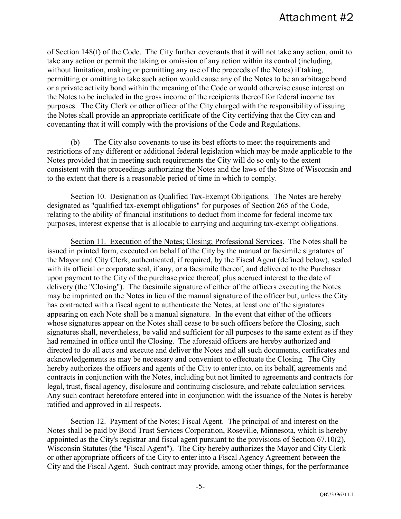of Section 148(f) of the Code. The City further covenants that it will not take any action, omit to take any action or permit the taking or omission of any action within its control (including, without limitation, making or permitting any use of the proceeds of the Notes) if taking, permitting or omitting to take such action would cause any of the Notes to be an arbitrage bond or a private activity bond within the meaning of the Code or would otherwise cause interest on the Notes to be included in the gross income of the recipients thereof for federal income tax purposes. The City Clerk or other officer of the City charged with the responsibility of issuing the Notes shall provide an appropriate certificate of the City certifying that the City can and covenanting that it will comply with the provisions of the Code and Regulations.

(b) The City also covenants to use its best efforts to meet the requirements and restrictions of any different or additional federal legislation which may be made applicable to the Notes provided that in meeting such requirements the City will do so only to the extent consistent with the proceedings authorizing the Notes and the laws of the State of Wisconsin and to the extent that there is a reasonable period of time in which to comply.

Section 10. Designation as Qualified Tax-Exempt Obligations. The Notes are hereby designated as "qualified tax-exempt obligations" for purposes of Section 265 of the Code, relating to the ability of financial institutions to deduct from income for federal income tax purposes, interest expense that is allocable to carrying and acquiring tax-exempt obligations.

Section 11. Execution of the Notes; Closing; Professional Services. The Notes shall be issued in printed form, executed on behalf of the City by the manual or facsimile signatures of the Mayor and City Clerk, authenticated, if required, by the Fiscal Agent (defined below), sealed with its official or corporate seal, if any, or a facsimile thereof, and delivered to the Purchaser upon payment to the City of the purchase price thereof, plus accrued interest to the date of delivery (the "Closing"). The facsimile signature of either of the officers executing the Notes may be imprinted on the Notes in lieu of the manual signature of the officer but, unless the City has contracted with a fiscal agent to authenticate the Notes, at least one of the signatures appearing on each Note shall be a manual signature. In the event that either of the officers whose signatures appear on the Notes shall cease to be such officers before the Closing, such signatures shall, nevertheless, be valid and sufficient for all purposes to the same extent as if they had remained in office until the Closing. The aforesaid officers are hereby authorized and directed to do all acts and execute and deliver the Notes and all such documents, certificates and acknowledgements as may be necessary and convenient to effectuate the Closing. The City hereby authorizes the officers and agents of the City to enter into, on its behalf, agreements and contracts in conjunction with the Notes, including but not limited to agreements and contracts for legal, trust, fiscal agency, disclosure and continuing disclosure, and rebate calculation services. Any such contract heretofore entered into in conjunction with the issuance of the Notes is hereby ratified and approved in all respects.

Section 12. Payment of the Notes; Fiscal Agent. The principal of and interest on the Notes shall be paid by Bond Trust Services Corporation, Roseville, Minnesota, which is hereby appointed as the City's registrar and fiscal agent pursuant to the provisions of Section 67.10(2), Wisconsin Statutes (the "Fiscal Agent"). The City hereby authorizes the Mayor and City Clerk or other appropriate officers of the City to enter into a Fiscal Agency Agreement between the City and the Fiscal Agent. Such contract may provide, among other things, for the performance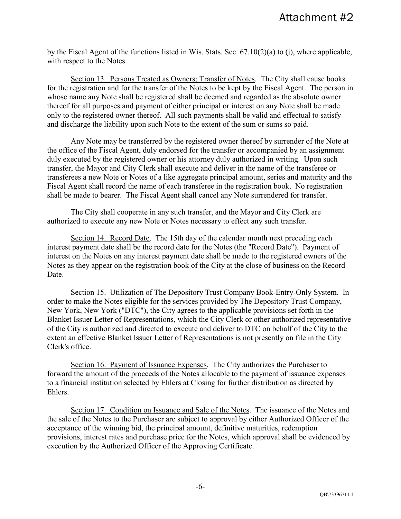by the Fiscal Agent of the functions listed in Wis. Stats. Sec. 67.10(2)(a) to (j), where applicable, with respect to the Notes.

Section 13. Persons Treated as Owners; Transfer of Notes. The City shall cause books for the registration and for the transfer of the Notes to be kept by the Fiscal Agent. The person in whose name any Note shall be registered shall be deemed and regarded as the absolute owner thereof for all purposes and payment of either principal or interest on any Note shall be made only to the registered owner thereof. All such payments shall be valid and effectual to satisfy and discharge the liability upon such Note to the extent of the sum or sums so paid.

Any Note may be transferred by the registered owner thereof by surrender of the Note at the office of the Fiscal Agent, duly endorsed for the transfer or accompanied by an assignment duly executed by the registered owner or his attorney duly authorized in writing. Upon such transfer, the Mayor and City Clerk shall execute and deliver in the name of the transferee or transferees a new Note or Notes of a like aggregate principal amount, series and maturity and the Fiscal Agent shall record the name of each transferee in the registration book. No registration shall be made to bearer. The Fiscal Agent shall cancel any Note surrendered for transfer.

The City shall cooperate in any such transfer, and the Mayor and City Clerk are authorized to execute any new Note or Notes necessary to effect any such transfer.

Section 14. Record Date. The 15th day of the calendar month next preceding each interest payment date shall be the record date for the Notes (the "Record Date"). Payment of interest on the Notes on any interest payment date shall be made to the registered owners of the Notes as they appear on the registration book of the City at the close of business on the Record Date.

Section 15. Utilization of The Depository Trust Company Book-Entry-Only System. In order to make the Notes eligible for the services provided by The Depository Trust Company, New York, New York ("DTC"), the City agrees to the applicable provisions set forth in the Blanket Issuer Letter of Representations, which the City Clerk or other authorized representative of the City is authorized and directed to execute and deliver to DTC on behalf of the City to the extent an effective Blanket Issuer Letter of Representations is not presently on file in the City Clerk's office.

Section 16. Payment of Issuance Expenses. The City authorizes the Purchaser to forward the amount of the proceeds of the Notes allocable to the payment of issuance expenses to a financial institution selected by Ehlers at Closing for further distribution as directed by Ehlers.

Section 17. Condition on Issuance and Sale of the Notes. The issuance of the Notes and the sale of the Notes to the Purchaser are subject to approval by either Authorized Officer of the acceptance of the winning bid, the principal amount, definitive maturities, redemption provisions, interest rates and purchase price for the Notes, which approval shall be evidenced by execution by the Authorized Officer of the Approving Certificate.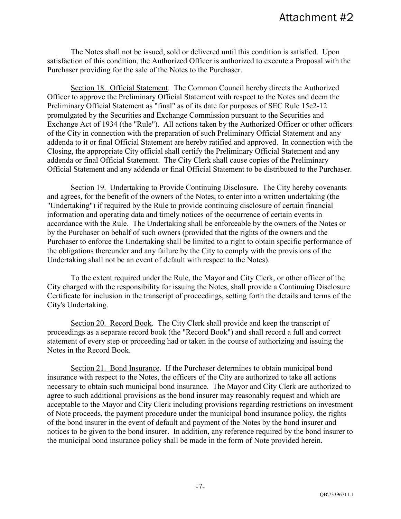The Notes shall not be issued, sold or delivered until this condition is satisfied. Upon satisfaction of this condition, the Authorized Officer is authorized to execute a Proposal with the Purchaser providing for the sale of the Notes to the Purchaser.

Section 18. Official Statement. The Common Council hereby directs the Authorized Officer to approve the Preliminary Official Statement with respect to the Notes and deem the Preliminary Official Statement as "final" as of its date for purposes of SEC Rule 15c2-12 promulgated by the Securities and Exchange Commission pursuant to the Securities and Exchange Act of 1934 (the "Rule"). All actions taken by the Authorized Officer or other officers of the City in connection with the preparation of such Preliminary Official Statement and any addenda to it or final Official Statement are hereby ratified and approved. In connection with the Closing, the appropriate City official shall certify the Preliminary Official Statement and any addenda or final Official Statement. The City Clerk shall cause copies of the Preliminary Official Statement and any addenda or final Official Statement to be distributed to the Purchaser.

Section 19. Undertaking to Provide Continuing Disclosure. The City hereby covenants and agrees, for the benefit of the owners of the Notes, to enter into a written undertaking (the "Undertaking") if required by the Rule to provide continuing disclosure of certain financial information and operating data and timely notices of the occurrence of certain events in accordance with the Rule. The Undertaking shall be enforceable by the owners of the Notes or by the Purchaser on behalf of such owners (provided that the rights of the owners and the Purchaser to enforce the Undertaking shall be limited to a right to obtain specific performance of the obligations thereunder and any failure by the City to comply with the provisions of the Undertaking shall not be an event of default with respect to the Notes).

To the extent required under the Rule, the Mayor and City Clerk, or other officer of the City charged with the responsibility for issuing the Notes, shall provide a Continuing Disclosure Certificate for inclusion in the transcript of proceedings, setting forth the details and terms of the City's Undertaking.

Section 20. Record Book. The City Clerk shall provide and keep the transcript of proceedings as a separate record book (the "Record Book") and shall record a full and correct statement of every step or proceeding had or taken in the course of authorizing and issuing the Notes in the Record Book.

Section 21. Bond Insurance. If the Purchaser determines to obtain municipal bond insurance with respect to the Notes, the officers of the City are authorized to take all actions necessary to obtain such municipal bond insurance. The Mayor and City Clerk are authorized to agree to such additional provisions as the bond insurer may reasonably request and which are acceptable to the Mayor and City Clerk including provisions regarding restrictions on investment of Note proceeds, the payment procedure under the municipal bond insurance policy, the rights of the bond insurer in the event of default and payment of the Notes by the bond insurer and notices to be given to the bond insurer. In addition, any reference required by the bond insurer to the municipal bond insurance policy shall be made in the form of Note provided herein.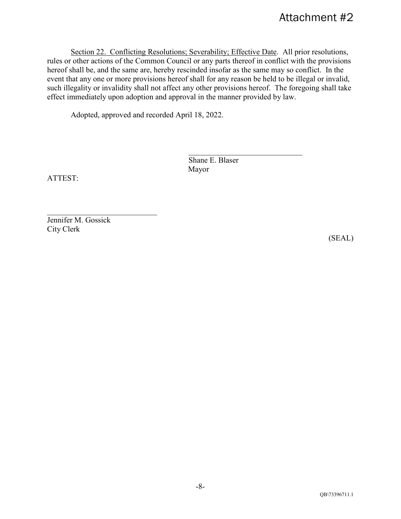Section 22. Conflicting Resolutions; Severability; Effective Date. All prior resolutions, rules or other actions of the Common Council or any parts thereof in conflict with the provisions hereof shall be, and the same are, hereby rescinded insofar as the same may so conflict. In the event that any one or more provisions hereof shall for any reason be held to be illegal or invalid, such illegality or invalidity shall not affect any other provisions hereof. The foregoing shall take effect immediately upon adoption and approval in the manner provided by law.

Adopted, approved and recorded April 18, 2022.

Shane E. Blaser Mayor

\_\_\_\_\_\_\_\_\_\_\_\_\_\_\_\_\_\_\_\_\_\_\_\_\_\_\_\_\_

ATTEST:

Jennifer M. Gossick City Clerk

(SEAL)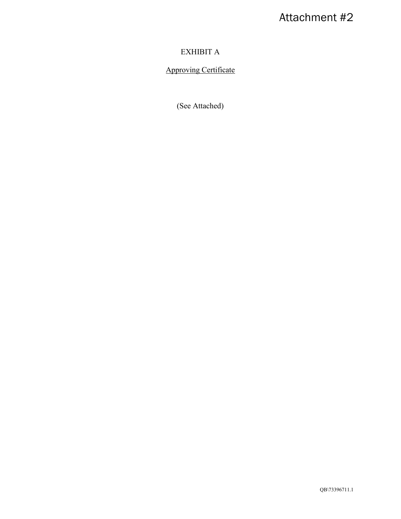## EXHIBIT A

## Approving Certificate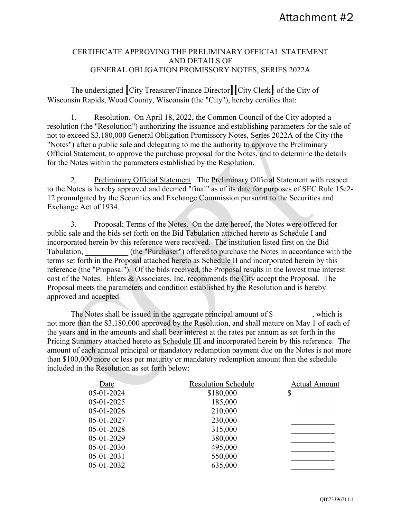#### CERTIFICATE APPROVING THE PRELIMINARY OFFICIAL STATEMENT AND DETAILS OF GENERAL OBLIGATION PROMISSORY NOTES, SERIES 2022A

The undersigned **[**City Treasurer/Finance Director**][**City Clerk**]** of the City of Wisconsin Rapids, Wood County, Wisconsin (the "City"), hereby certifies that:

1. Resolution. On April 18, 2022, the Common Council of the City adopted a resolution (the "Resolution") authorizing the issuance and establishing parameters for the sale of not to exceed \$3,180,000 General Obligation Promissory Notes, Series 2022A of the City (the "Notes") after a public sale and delegating to me the authority to approve the Preliminary Official Statement, to approve the purchase proposal for the Notes, and to determine the details for the Notes within the parameters established by the Resolution.

2. Preliminary Official Statement. The Preliminary Official Statement with respect to the Notes is hereby approved and deemed "final" as of its date for purposes of SEC Rule 15c2- 12 promulgated by the Securities and Exchange Commission pursuant to the Securities and Exchange Act of 1934.

3. Proposal; Terms of the Notes. On the date hereof, the Notes were offered for public sale and the bids set forth on the Bid Tabulation attached hereto as Schedule I and incorporated herein by this reference were received. The institution listed first on the Bid Tabulation, (the "Purchaser") offered to purchase the Notes in accordance with the terms set forth in the Proposal attached hereto as Schedule II and incorporated herein by this reference (the "Proposal"). Of the bids received, the Proposal results in the lowest true interest cost of the Notes. Ehlers & Associates, Inc. recommends the City accept the Proposal. The Proposal meets the parameters and condition established by the Resolution and is hereby approved and accepted.

The Notes shall be issued in the aggregate principal amount of \$\_\_\_\_\_\_\_\_\_, which is not more than the \$3,180,000 approved by the Resolution, and shall mature on May 1 of each of the years and in the amounts and shall bear interest at the rates per annum as set forth in the Pricing Summary attached hereto as Schedule III and incorporated herein by this reference. The amount of each annual principal or mandatory redemption payment due on the Notes is not more than \$100,000 more or less per maturity or mandatory redemption amount than the schedule included in the Resolution as set forth below:

| Date       | <b>Resolution Schedule</b> | <b>Actual Amount</b> |
|------------|----------------------------|----------------------|
| 05-01-2024 | \$180,000                  | \$                   |
| 05-01-2025 | 185,000                    |                      |
| 05-01-2026 | 210,000                    |                      |
| 05-01-2027 | 230,000                    |                      |
| 05-01-2028 | 315,000                    |                      |
| 05-01-2029 | 380,000                    |                      |
| 05-01-2030 | 495,000                    |                      |
| 05-01-2031 | 550,000                    |                      |
| 05-01-2032 | 635,000                    |                      |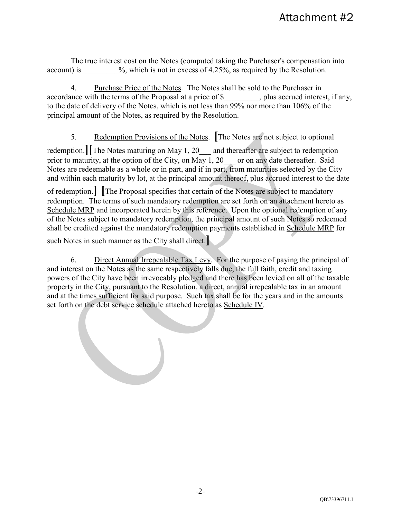The true interest cost on the Notes (computed taking the Purchaser's compensation into account) is  $\%$ , which is not in excess of 4.25%, as required by the Resolution.

4. Purchase Price of the Notes. The Notes shall be sold to the Purchaser in accordance with the terms of the Proposal at a price of \$, plus accrued interest, if any, to the date of delivery of the Notes, which is not less than 99% nor more than 106% of the principal amount of the Notes, as required by the Resolution.

5. Redemption Provisions of the Notes. **[**The Notes are not subject to optional

redemption. The Notes maturing on May 1, 20<sup>----</sup> and thereafter are subject to redemption prior to maturity, at the option of the City, on May 1, 20  $\phantom{0}$  or on any date thereafter. Said Notes are redeemable as a whole or in part, and if in part, from maturities selected by the City and within each maturity by lot, at the principal amount thereof, plus accrued interest to the date

of redemption.**] [**The Proposal specifies that certain of the Notes are subject to mandatory redemption. The terms of such mandatory redemption are set forth on an attachment hereto as Schedule MRP and incorporated herein by this reference. Upon the optional redemption of any of the Notes subject to mandatory redemption, the principal amount of such Notes so redeemed shall be credited against the mandatory redemption payments established in Schedule MRP for

such Notes in such manner as the City shall direct.**]**

6. Direct Annual Irrepealable Tax Levy. For the purpose of paying the principal of and interest on the Notes as the same respectively falls due, the full faith, credit and taxing powers of the City have been irrevocably pledged and there has been levied on all of the taxable property in the City, pursuant to the Resolution, a direct, annual irrepealable tax in an amount and at the times sufficient for said purpose. Such tax shall be for the years and in the amounts set forth on the debt service schedule attached hereto as Schedule IV.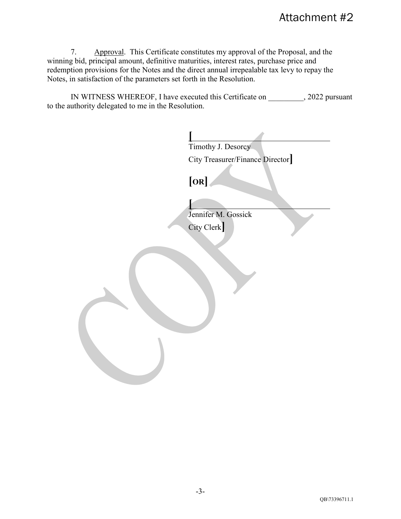7. Approval. This Certificate constitutes my approval of the Proposal, and the winning bid, principal amount, definitive maturities, interest rates, purchase price and redemption provisions for the Notes and the direct annual irrepealable tax levy to repay the Notes, in satisfaction of the parameters set forth in the Resolution.

IN WITNESS WHEREOF, I have executed this Certificate on  $, 2022$  pursuant to the authority delegated to me in the Resolution.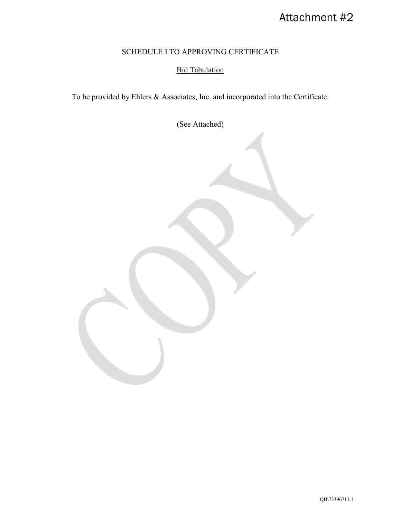## SCHEDULE I TO APPROVING CERTIFICATE

## Bid Tabulation

To be provided by Ehlers & Associates, Inc. and incorporated into the Certificate.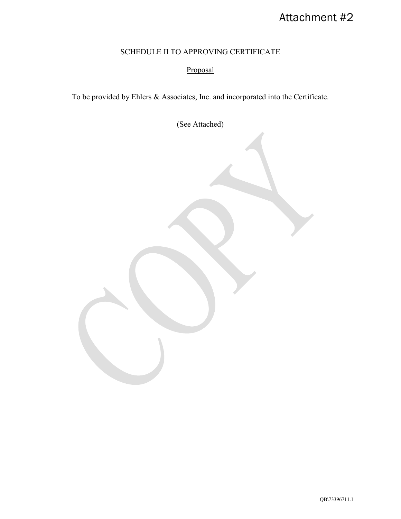## SCHEDULE II TO APPROVING CERTIFICATE

## Proposal

To be provided by Ehlers & Associates, Inc. and incorporated into the Certificate.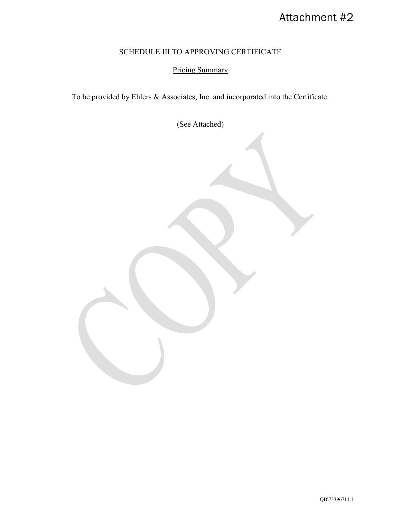## SCHEDULE III TO APPROVING CERTIFICATE

## Pricing Summary

To be provided by Ehlers & Associates, Inc. and incorporated into the Certificate.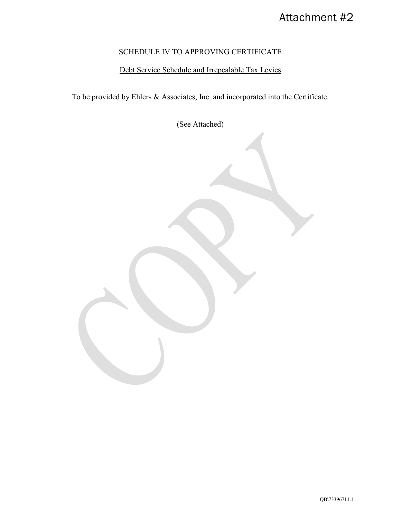## SCHEDULE IV TO APPROVING CERTIFICATE

## Debt Service Schedule and Irrepealable Tax Levies

To be provided by Ehlers & Associates, Inc. and incorporated into the Certificate.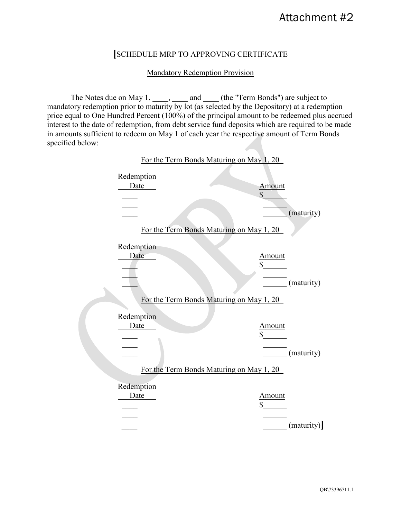### **[**SCHEDULE MRP TO APPROVING CERTIFICATE

#### Mandatory Redemption Provision

The Notes due on May  $1, \ldots, \ldots$  and  $\ldots$  (the "Term Bonds") are subject to mandatory redemption prior to maturity by lot (as selected by the Depository) at a redemption price equal to One Hundred Percent (100%) of the principal amount to be redeemed plus accrued interest to the date of redemption, from debt service fund deposits which are required to be made in amounts sufficient to redeem on May 1 of each year the respective amount of Term Bonds specified below:

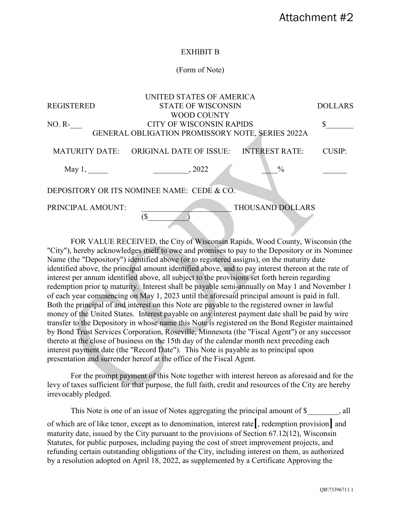#### EXHIBIT B

#### (Form of Note)

|                                            | UNITED STATES OF AMERICA                         |                         |                |  |  |
|--------------------------------------------|--------------------------------------------------|-------------------------|----------------|--|--|
| <b>REGISTERED</b>                          | <b>STATE OF WISCONSIN</b>                        |                         | <b>DOLLARS</b> |  |  |
|                                            | WOOD COUNTY                                      |                         |                |  |  |
| $NO. R-$                                   | <b>CITY OF WISCONSIN RAPIDS</b>                  |                         |                |  |  |
|                                            | GENERAL OBLIGATION PROMISSORY NOTE, SERIES 2022A |                         |                |  |  |
|                                            |                                                  |                         |                |  |  |
| <b>MATURITY DATE:</b>                      | <b>ORIGINAL DATE OF ISSUE:</b>                   | <b>INTEREST RATE:</b>   | <b>CUSIP:</b>  |  |  |
|                                            |                                                  |                         |                |  |  |
| May $1,$                                   | .2022                                            | $\frac{0}{0}$           |                |  |  |
|                                            |                                                  |                         |                |  |  |
| DEPOSITORY OR ITS NOMINEE NAME: CEDE & CO. |                                                  |                         |                |  |  |
|                                            |                                                  |                         |                |  |  |
| PRINCIPAL AMOUNT:                          |                                                  | <b>THOUSAND DOLLARS</b> |                |  |  |
|                                            | ſ\$                                              |                         |                |  |  |

FOR VALUE RECEIVED, the City of Wisconsin Rapids, Wood County, Wisconsin (the "City"), hereby acknowledges itself to owe and promises to pay to the Depository or its Nominee Name (the "Depository") identified above (or to registered assigns), on the maturity date identified above, the principal amount identified above, and to pay interest thereon at the rate of interest per annum identified above, all subject to the provisions set forth herein regarding redemption prior to maturity. Interest shall be payable semi-annually on May 1 and November 1 of each year commencing on May 1, 2023 until the aforesaid principal amount is paid in full. Both the principal of and interest on this Note are payable to the registered owner in lawful money of the United States. Interest payable on any interest payment date shall be paid by wire transfer to the Depository in whose name this Note is registered on the Bond Register maintained by Bond Trust Services Corporation, Roseville, Minnesota (the "Fiscal Agent") or any successor thereto at the close of business on the 15th day of the calendar month next preceding each interest payment date (the "Record Date"). This Note is payable as to principal upon presentation and surrender hereof at the office of the Fiscal Agent.

For the prompt payment of this Note together with interest hereon as aforesaid and for the levy of taxes sufficient for that purpose, the full faith, credit and resources of the City are hereby irrevocably pledged.

This Note is one of an issue of Notes aggregating the principal amount of \$  $\,$ , all of which are of like tenor, except as to denomination, interest rate**[**, redemption provision**]** and maturity date, issued by the City pursuant to the provisions of Section 67.12(12), Wisconsin Statutes, for public purposes, including paying the cost of street improvement projects, and refunding certain outstanding obligations of the City, including interest on them, as authorized by a resolution adopted on April 18, 2022, as supplemented by a Certificate Approving the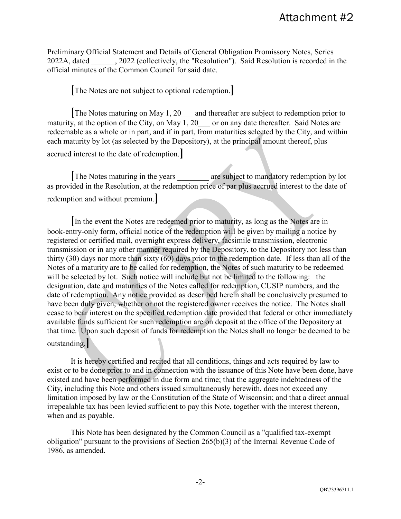Preliminary Official Statement and Details of General Obligation Promissory Notes, Series 2022A, dated . 2022 (collectively, the "Resolution"). Said Resolution is recorded in the official minutes of the Common Council for said date.

**[**The Notes are not subject to optional redemption.**]**

**[**The Notes maturing on May 1, 20\_\_\_ and thereafter are subject to redemption prior to maturity, at the option of the City, on May 1, 20  $\phantom{0}$  or on any date thereafter. Said Notes are redeemable as a whole or in part, and if in part, from maturities selected by the City, and within each maturity by lot (as selected by the Depository), at the principal amount thereof, plus accrued interest to the date of redemption.**]**

**[**The Notes maturing in the years \_\_\_\_\_\_\_\_ are subject to mandatory redemption by lot as provided in the Resolution, at the redemption price of par plus accrued interest to the date of redemption and without premium.**]**

**[**In the event the Notes are redeemed prior to maturity, as long as the Notes are in book-entry-only form, official notice of the redemption will be given by mailing a notice by registered or certified mail, overnight express delivery, facsimile transmission, electronic transmission or in any other manner required by the Depository, to the Depository not less than thirty (30) days nor more than sixty (60) days prior to the redemption date. If less than all of the Notes of a maturity are to be called for redemption, the Notes of such maturity to be redeemed will be selected by lot. Such notice will include but not be limited to the following: the designation, date and maturities of the Notes called for redemption, CUSIP numbers, and the date of redemption. Any notice provided as described herein shall be conclusively presumed to have been duly given, whether or not the registered owner receives the notice. The Notes shall cease to bear interest on the specified redemption date provided that federal or other immediately available funds sufficient for such redemption are on deposit at the office of the Depository at that time. Upon such deposit of funds for redemption the Notes shall no longer be deemed to be outstanding.**]**

It is hereby certified and recited that all conditions, things and acts required by law to exist or to be done prior to and in connection with the issuance of this Note have been done, have existed and have been performed in due form and time; that the aggregate indebtedness of the City, including this Note and others issued simultaneously herewith, does not exceed any limitation imposed by law or the Constitution of the State of Wisconsin; and that a direct annual irrepealable tax has been levied sufficient to pay this Note, together with the interest thereon, when and as payable.

This Note has been designated by the Common Council as a "qualified tax-exempt obligation" pursuant to the provisions of Section 265(b)(3) of the Internal Revenue Code of 1986, as amended.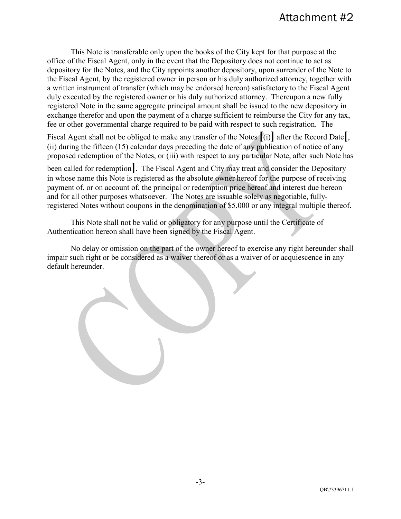This Note is transferable only upon the books of the City kept for that purpose at the office of the Fiscal Agent, only in the event that the Depository does not continue to act as depository for the Notes, and the City appoints another depository, upon surrender of the Note to the Fiscal Agent, by the registered owner in person or his duly authorized attorney, together with a written instrument of transfer (which may be endorsed hereon) satisfactory to the Fiscal Agent duly executed by the registered owner or his duly authorized attorney. Thereupon a new fully registered Note in the same aggregate principal amount shall be issued to the new depository in exchange therefor and upon the payment of a charge sufficient to reimburse the City for any tax, fee or other governmental charge required to be paid with respect to such registration. The

Fiscal Agent shall not be obliged to make any transfer of the Notes **[**(i)**]** after the Record Date**[**, (ii) during the fifteen (15) calendar days preceding the date of any publication of notice of any proposed redemption of the Notes, or (iii) with respect to any particular Note, after such Note has

been called for redemption**]**. The Fiscal Agent and City may treat and consider the Depository in whose name this Note is registered as the absolute owner hereof for the purpose of receiving payment of, or on account of, the principal or redemption price hereof and interest due hereon and for all other purposes whatsoever. The Notes are issuable solely as negotiable, fullyregistered Notes without coupons in the denomination of \$5,000 or any integral multiple thereof.

This Note shall not be valid or obligatory for any purpose until the Certificate of Authentication hereon shall have been signed by the Fiscal Agent.

No delay or omission on the part of the owner hereof to exercise any right hereunder shall impair such right or be considered as a waiver thereof or as a waiver of or acquiescence in any default hereunder.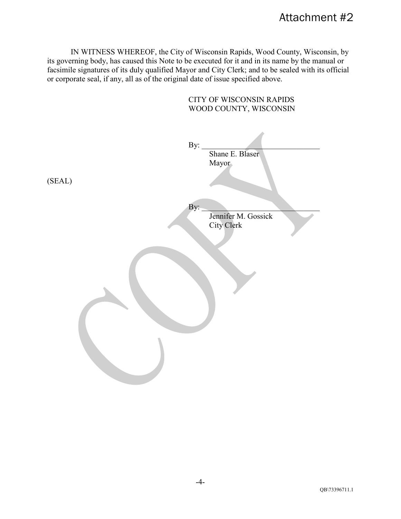IN WITNESS WHEREOF, the City of Wisconsin Rapids, Wood County, Wisconsin, by its governing body, has caused this Note to be executed for it and in its name by the manual or facsimile signatures of its duly qualified Mayor and City Clerk; and to be sealed with its official or corporate seal, if any, all as of the original date of issue specified above.

CITY OF WISCONSIN RAPIDS WOOD COUNTY, WISCONSIN By: Shane E. Blaser Mayor (SEAL)  $\mathbf{By:}$ Jennifer M. Gossick City Clerk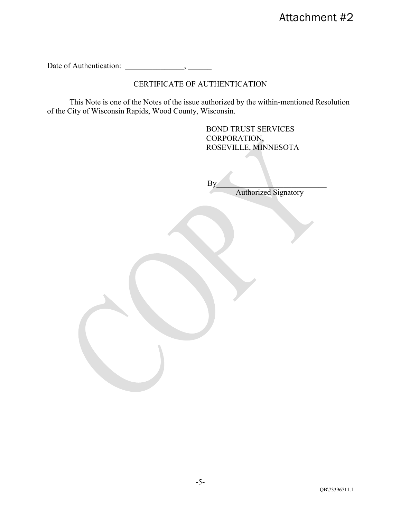Date of Authentication: \_\_\_\_\_\_\_\_\_\_\_\_\_\_\_, \_\_\_\_\_\_

## CERTIFICATE OF AUTHENTICATION

 This Note is one of the Notes of the issue authorized by the within-mentioned Resolution of the City of Wisconsin Rapids, Wood County, Wisconsin.

> BOND TRUST SERVICES CORPORATION, ROSEVILLE, MINNESOTA

 $\mathbf{By}$ **Authorized Signatory** 

QB\73396711.1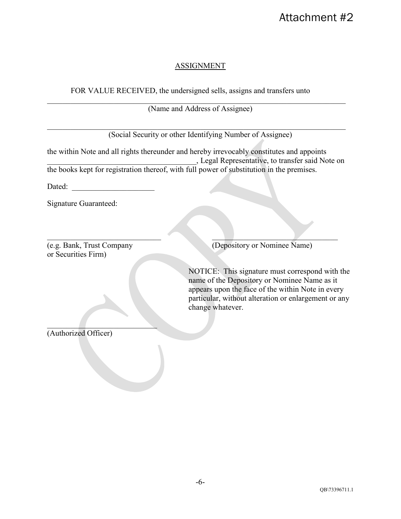### ASSIGNMENT

### FOR VALUE RECEIVED, the undersigned sells, assigns and transfers unto

\_\_\_\_\_\_\_\_\_\_\_\_\_\_\_\_\_\_\_\_\_\_\_\_\_\_\_\_\_\_\_\_\_\_\_\_\_\_\_\_\_\_\_\_\_\_\_\_\_\_\_\_\_\_\_\_\_\_\_\_\_\_\_\_\_\_\_\_\_\_\_\_\_\_\_\_ (Name and Address of Assignee)

(Social Security or other Identifying Number of Assignee)

\_\_\_\_\_\_\_\_\_\_\_\_\_\_\_\_\_\_\_\_\_\_\_\_\_\_\_\_\_\_\_\_\_\_\_\_\_\_\_\_\_\_\_\_\_\_\_\_\_\_\_\_\_\_\_\_\_\_\_\_\_\_\_\_\_\_\_\_\_\_\_\_\_\_\_\_

the within Note and all rights thereunder and hereby irrevocably constitutes and appoints \_\_\_\_\_\_\_\_\_\_\_\_\_\_\_\_\_\_\_\_\_\_\_\_\_\_\_\_\_\_\_\_\_\_\_\_\_\_, Legal Representative, to transfer said Note on the books kept for registration thereof, with full power of substitution in the premises.

Dated:

Signature Guaranteed:

or Securities Firm)

 $\mathcal{L}=\mathcal{L}=\mathcal{L}=\mathcal{L}=\mathcal{L}=\mathcal{L}=\mathcal{L}=\mathcal{L}=\mathcal{L}=\mathcal{L}=\mathcal{L}=\mathcal{L}=\mathcal{L}=\mathcal{L}=\mathcal{L}=\mathcal{L}=\mathcal{L}=\mathcal{L}=\mathcal{L}=\mathcal{L}=\mathcal{L}=\mathcal{L}=\mathcal{L}=\mathcal{L}=\mathcal{L}=\mathcal{L}=\mathcal{L}=\mathcal{L}=\mathcal{L}=\mathcal{L}=\mathcal{L}=\mathcal{L}=\mathcal{L}=\mathcal{L}=\mathcal{L}=\mathcal{L}=\mathcal{$ (e.g. Bank, Trust Company (Depository or Nominee Name)

> NOTICE: This signature must correspond with the name of the Depository or Nominee Name as it appears upon the face of the within Note in every particular, without alteration or enlargement or any change whatever.

 $\mathcal{L}_\text{max}$  , where  $\mathcal{L}_\text{max}$  is the set of the set of the set of the set of the set of the set of the set of the set of the set of the set of the set of the set of the set of the set of the set of the set of the se (Authorized Officer)